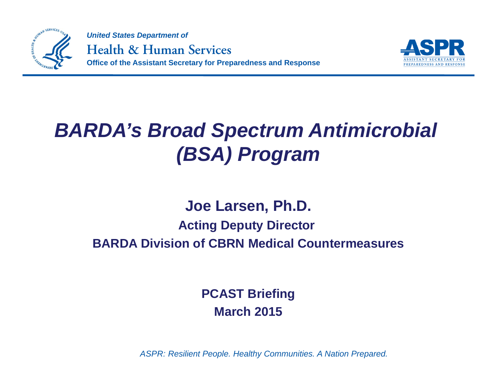



## *BARDA's Broad Spectrum Antimicrobial (BSA) Program*

### **Joe Larsen, Ph.D. Acting Deputy Director BARDA Division of CBRN Medical Countermeasures**

**PCAST Briefing March 2015**

*ASPR:* Resilient People. Healthy Communities. A Nation Prepared.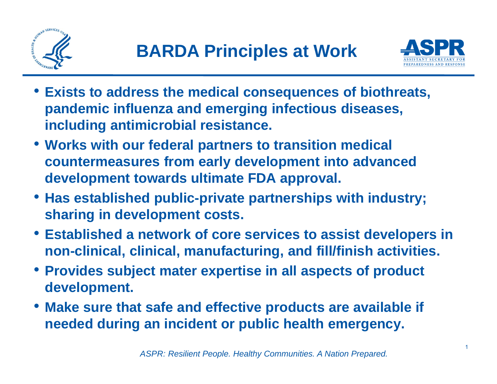



- **Exists to address the medical consequences of biothreats, pandemic influenza and emerging infectious diseases, including antimicrobial resistance.**
- **Works with our federal partners to transition medical countermeasures from early development into advanced development towards ultimate FDA approval.**
- **Has established public-private partnerships with industry; sharing in development costs.**
- **Established a network of core services to assist developers in non-clinical, clinical, manufacturing, and fill/finish activities.**
- **Provides subject mater expertise in all aspects of product development.**
- **Make sure that safe and effective products are available if needed during an incident or public health emergency.**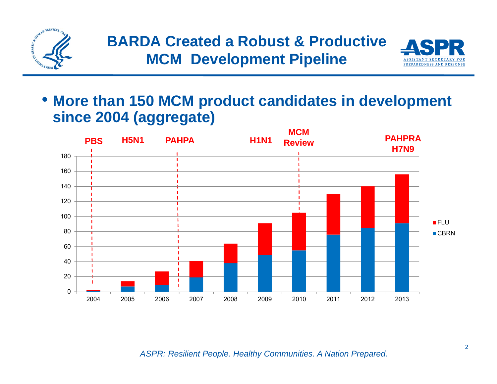



• **More than 150 MCM product candidates in development since 2004 (aggregate)** 



*ASPR:* Resilient People. Healthy Communities. A Nation Prepared.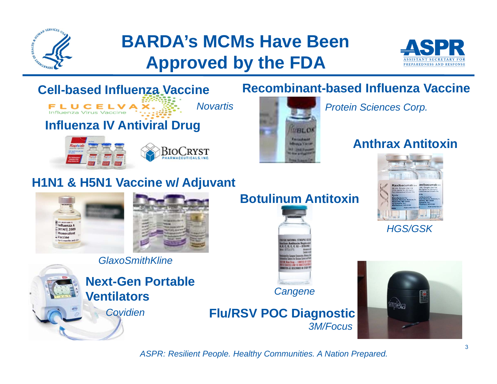

### **BARDA's MCMs Have Been Approved by the FDA**





*ASPR: Resilient People. Healthy Communities. A Nation Prepared.* 

### **Anthrax Antitoxin**





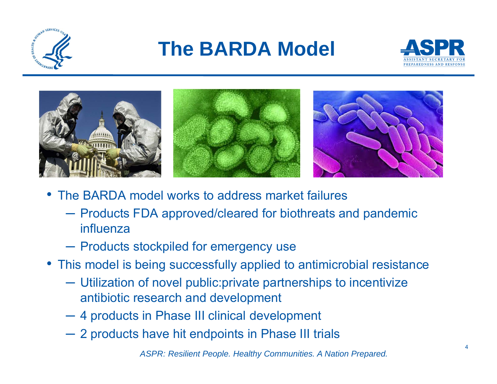

# **The BARDA Model**





- The BARDA model works to address market failures
	- ─ Products FDA approved/cleared for biothreats and pandemic influenza
	- ─ Products stockpiled for emergency use
- This model is being successfully applied to antimicrobial resistance
	- ─ Utilization of novel public:private partnerships to incentivize antibiotic research and development
	- ─ 4 products in Phase III clinical development
	- ─ 2 products have hit endpoints in Phase III trials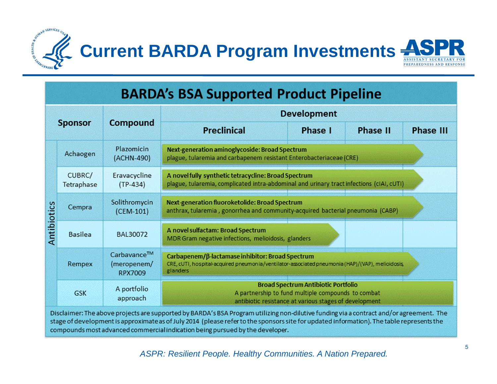



#### **BARDA's BSA Supported Product Pipeline Development Compound Sponsor Preclinical** Phase I Phase II **Phase III** Plazomicin Next-generation aminoglycoside: Broad Spectrum Achaogen (ACHN-490) plague, tularemia and carbapenem resistant Enterobacteriaceae (CRE) Eravacycline A novel fully synthetic tetracycline: Broad Spectrum CUBRC/  $(TP-434)$ plague, tularemia, complicated intra-abdominal and urinary tract infections (cIAI, cUTI) Tetraphase Solithromycin Next-generation fluoroketolide: Broad Spectrum Antibiotics Cempra anthrax, tularemia, gonorrhea and community-acquired bacterial pneumonia (CABP)  $(CEM-101)$ A novel sulfactam: Broad Spectrum BAL30072 **Basilea** MDR Gram negative infections, melioidosis, glanders Carbavance™ Carbapenem/B-lactamase inhibitor: Broad Spectrum (meropenem/ CRE, cUTI, hospital-acquired pneumonia/ventilator-associated pneumonia (HAP)/(VAP), melioidosis. Rempex glanders **RPX7009 Broad Spectrum Antibiotic Portfolio** A portfolio A partnership to fund multiple compounds to combat **GSK** approach antibiotic resistance at various stages of development

Disclaimer: The above projects are supported by BARDA's BSA Program utilizing non-dilutive funding via a contract and/or agreement. The stage of development is approximate as of July 2014 (please refer to the sponsors site for updated information). The table represents the compounds most advanced commercial indication being pursued by the developer.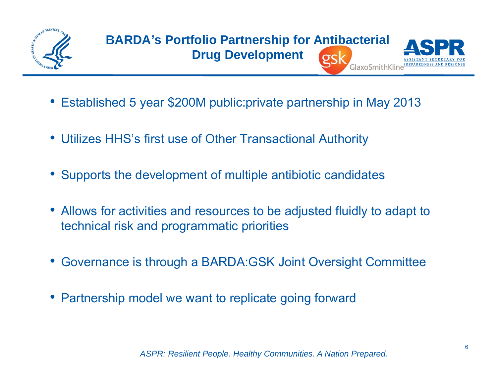

- Established 5 year \$200M public:private partnership in May 2013
- $\bullet$ Utilizes HHS's first use of Other Transactional Authority
- •Supports the development of multiple antibiotic candidates
- Allows for activities and resources to be adjusted fluidly to adapt to technical risk and programmatic priorities
- •Governance is through a BARDA:GSK Joint Oversight Committee
- Partnership model we want to replicate going forward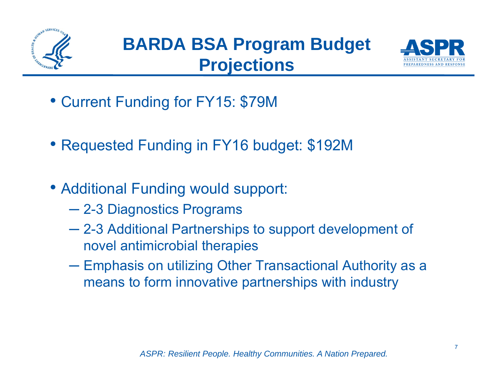



- Current Funding for FY15: \$79M
- Requested Funding in FY16 budget: \$192M
- Additional Funding would support:
	- 2-3 Diagnostics Programs
	- $\mathcal{L}^{\text{max}}_{\text{max}}$  2-3 Additional Partnerships to support development of novel antimicrobial therapies
	- ─ $-$  Emphasis on utilizing Other Transactional Authority as a means to form innovative partnerships with industry